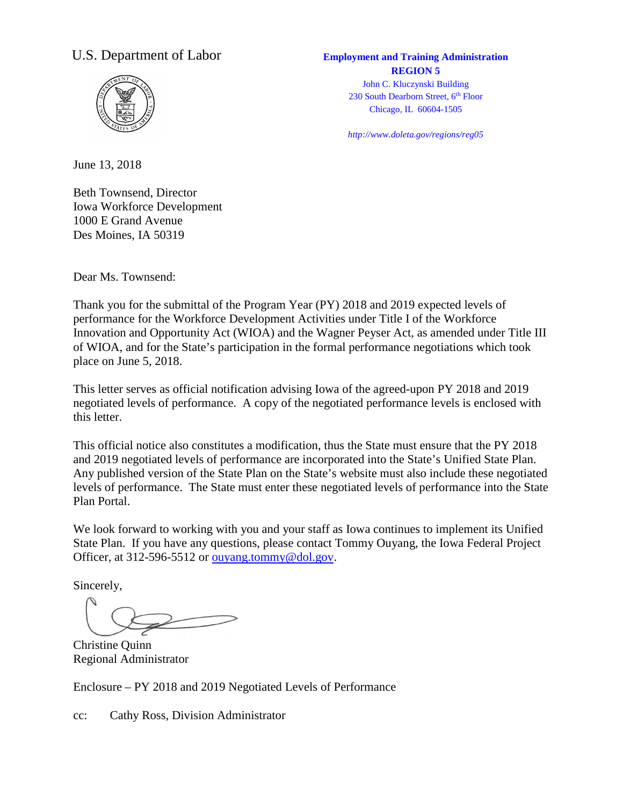### U.S. Department of Labor **Employment and Training Administration**



## **REGION 5** John C. Kluczynski Building

230 South Dearborn Street, 6<sup>th</sup> Floor Chicago, IL 60604-1505

*http://www.doleta.gov/regions/reg05*

June 13, 2018

Beth Townsend, Director Iowa Workforce Development 1000 E Grand Avenue Des Moines, IA 50319

Dear Ms. Townsend:

Thank you for the submittal of the Program Year (PY) 2018 and 2019 expected levels of performance for the Workforce Development Activities under Title I of the Workforce Innovation and Opportunity Act (WIOA) and the Wagner Peyser Act, as amended under Title III of WIOA, and for the State's participation in the formal performance negotiations which took place on June 5, 2018.

This letter serves as official notification advising Iowa of the agreed-upon PY 2018 and 2019 negotiated levels of performance. A copy of the negotiated performance levels is enclosed with this letter.

This official notice also constitutes a modification, thus the State must ensure that the PY 2018 and 2019 negotiated levels of performance are incorporated into the State's Unified State Plan. Any published version of the State Plan on the State's website must also include these negotiated levels of performance. The State must enter these negotiated levels of performance into the State Plan Portal.

We look forward to working with you and your staff as Iowa continues to implement its Unified State Plan. If you have any questions, please contact Tommy Ouyang, the Iowa Federal Project Officer, at 312-596-5512 or [ouyang.tommy@dol.gov](mailto:ouyang.tommy@dol.gov).

Sincerely,

Christine Quinn Regional Administrator

Enclosure – PY 2018 and 2019 Negotiated Levels of Performance

cc: Cathy Ross, Division Administrator